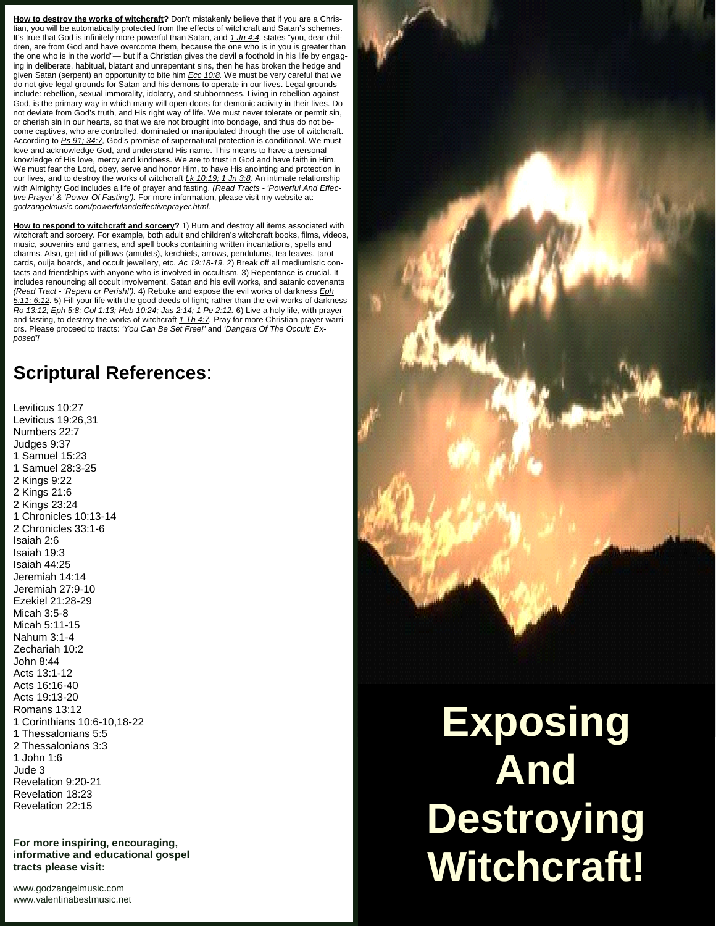How to destroy the works of witchcraft? Don't mistakenly believe that if you are a Christian, you will be automatically protected from the effects of witchcraft and Satan's schemes. It's true that God is infinitely more powerful than Satan, and *1 Jn 4:4,* states "you, dear children, are from God and have overcome them, because the one who is in you is greater than the one who is in the world"— but if a Christian gives the devil a foothold in his life by engaging in deliberate, habitual, blatant and unrepentant sins, then he has broken the hedge and given Satan (serpent) an opportunity to bite him *Ecc 10:8.* We must be very careful that we do not give legal grounds for Satan and his demons to operate in our lives. Legal grounds include: rebellion, sexual immorality, idolatry, and stubbornness. Living in rebellion against God, is the primary way in which many will open doors for demonic activity in their lives. Do not deviate from God's truth, and His right way of life. We must never tolerate or permit sin, or cherish sin in our hearts, so that we are not brought into bondage, and thus do not be come captives, who are controlled, dominated or manipulated through the use of witchcraft. According to *Ps 91; 34:7,* God's promise of supernatural protection is conditional. We must love and acknowledge God, and understand His name. This means to have a personal knowledge of His love, mercy and kindness. We are to trust in God and have faith in Him. We must fear the Lord, obey, serve and honor Him, to have His anointing and protection in our lives, and to destroy the works of witchcraft *Lk 10:19; 1 Jn 3:8.* An intimate relationship with Almighty God includes a life of prayer and fasting. *(Read Tracts - 'Powerful And Effective Prayer' & 'Power Of Fasting').* For more information, please visit my website at: *godzangelmusic.com/powerfulandeffectiveprayer.html.*

**How to respond to witchcraft and sorcery?** 1) Burn and destroy all items associated with witchcraft and sorcery. For example, both adult and children's witchcraft books, films, videos, music, souvenirs and games, and spell books containing written incantations, spells and charms. Also, get rid of pillows (amulets), kerchiefs, arrows, pendulums, tea leaves, tarot cards, ouija boards, and occult jewellery, etc. *Ac 19:18-19.* 2) Break off all mediumistic contacts and friendships with anyone who is involved in occultism. 3) Repentance is crucial. It includes renouncing all occult involvement, Satan and his evil works, and satanic covenants *(Read Tract - 'Repent or Perish!').* 4) Rebuke and expose the evil works of darkness *Eph 5:11; 6:12.* 5) Fill your life with the good deeds of light; rather than the evil works of darkness *Ro 13:12; Eph 5:8; Col 1:13; Heb 10:24; Jas 2:14; 1 Pe 2:12.* 6) Live a holy life, with prayer and fasting, to destroy the works of witchcraft *1 Th 4:7.* Pray for more Christian prayer warriors. Please proceed to tracts: *'You Can Be Set Free!'* and *'Dangers Of The Occult: Ex posed'!*

## **Scriptural References**:

Leviticus 10:27 Leviticus 19:26,31 Numbers 22:7 Judges 9:37 1 Samuel 15:23 1 Samuel 28:3-25 2 Kings 9:22 2 Kings 21:6 2 Kings 23:24 1 Chronicles 10:13-14 2 Chronicles 33:1-6 Isaiah 2:6 Isaiah 19:3 Isaiah 44:25 Jeremiah 14:14 Jeremiah 27:9-10 Ezekiel 21:28-29 Micah 3:5-8 Micah 5:11-15 Nahum 3:1-4 Zechariah 10:2 John 8:44 Acts 13:1-12 Acts 16:16-40 Acts 19:13-20 Romans 13:12 [1 Corinthians 10:6-10,18-](www.valentinabestmusic.net)22 1 Thessalonians 5:5 2 Thessalonians 3:3 1 John 1:6 Jude 3 Revelation 9:20-21 Revelation 18:23 Revelation 22:15

**For more inspiring, encouraging, informative and educational gospel tracts please visit:**

<www.godzangelmusic.com> www.valentinabestmusic.net



**Exposing And Destroying Witchcraft!**